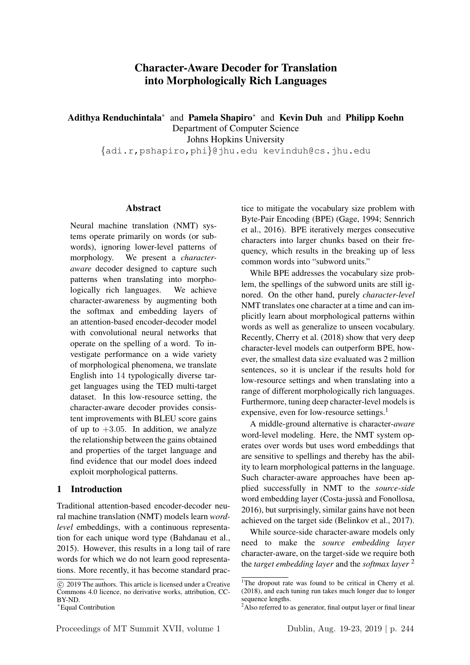# Character-Aware Decoder for Translation into Morphologically Rich Languages

Adithya Renduchintala<sup>∗</sup> and Pamela Shapiro<sup>∗</sup> and Kevin Duh and Philipp Koehn Department of Computer Science Johns Hopkins University {adi.r,pshapiro,phi}@jhu.edu kevinduh@cs.jhu.edu

#### Abstract

Neural machine translation (NMT) systems operate primarily on words (or subwords), ignoring lower-level patterns of morphology. We present a *characteraware* decoder designed to capture such patterns when translating into morphologically rich languages. We achieve character-awareness by augmenting both the softmax and embedding layers of an attention-based encoder-decoder model with convolutional neural networks that operate on the spelling of a word. To investigate performance on a wide variety of morphological phenomena, we translate English into 14 typologically diverse target languages using the TED multi-target dataset. In this low-resource setting, the character-aware decoder provides consistent improvements with BLEU score gains of up to  $+3.05$ . In addition, we analyze the relationship between the gains obtained and properties of the target language and find evidence that our model does indeed exploit morphological patterns.

### 1 Introduction

Traditional attention-based encoder-decoder neural machine translation (NMT) models learn *wordlevel* embeddings, with a continuous representation for each unique word type (Bahdanau et al., 2015). However, this results in a long tail of rare words for which we do not learn good representations. More recently, it has become standard practice to mitigate the vocabulary size problem with Byte-Pair Encoding (BPE) (Gage, 1994; Sennrich et al., 2016). BPE iteratively merges consecutive characters into larger chunks based on their frequency, which results in the breaking up of less common words into "subword units."

While BPE addresses the vocabulary size problem, the spellings of the subword units are still ignored. On the other hand, purely *character-level* NMT translates one character at a time and can implicitly learn about morphological patterns within words as well as generalize to unseen vocabulary. Recently, Cherry et al. (2018) show that very deep character-level models can outperform BPE, however, the smallest data size evaluated was 2 million sentences, so it is unclear if the results hold for low-resource settings and when translating into a range of different morphologically rich languages. Furthermore, tuning deep character-level models is expensive, even for low-resource settings. $<sup>1</sup>$ </sup>

A middle-ground alternative is character-*aware* word-level modeling. Here, the NMT system operates over words but uses word embeddings that are sensitive to spellings and thereby has the ability to learn morphological patterns in the language. Such character-aware approaches have been applied successfully in NMT to the *source-side* word embedding layer (Costa-jussà and Fonollosa, 2016), but surprisingly, similar gains have not been achieved on the target side (Belinkov et al., 2017).

While source-side character-aware models only need to make the *source embedding layer* character-aware, on the target-side we require both the *target embedding layer* and the *softmax layer* <sup>2</sup>

c 2019 The authors. This article is licensed under a Creative Commons 4.0 licence, no derivative works, attribution, CC-BY-ND.

<sup>∗</sup>Equal Contribution

<sup>&</sup>lt;sup>1</sup>The dropout rate was found to be critical in Cherry et al. (2018), and each tuning run takes much longer due to longer sequence lengths.

 $2$ Also referred to as generator, final output layer or final linear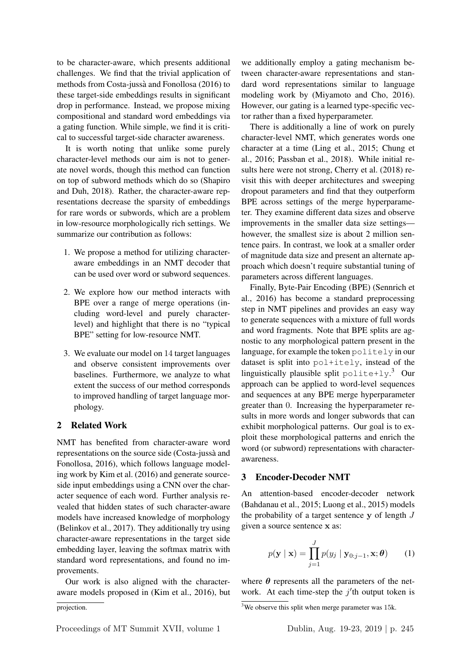to be character-aware, which presents additional challenges. We find that the trivial application of methods from Costa-jussa and Fonollosa (2016) to ` these target-side embeddings results in significant drop in performance. Instead, we propose mixing compositional and standard word embeddings via a gating function. While simple, we find it is critical to successful target-side character awareness.

It is worth noting that unlike some purely character-level methods our aim is not to generate novel words, though this method can function on top of subword methods which do so (Shapiro and Duh, 2018). Rather, the character-aware representations decrease the sparsity of embeddings for rare words or subwords, which are a problem in low-resource morphologically rich settings. We summarize our contribution as follows:

- 1. We propose a method for utilizing characteraware embeddings in an NMT decoder that can be used over word or subword sequences.
- 2. We explore how our method interacts with BPE over a range of merge operations (including word-level and purely characterlevel) and highlight that there is no "typical BPE" setting for low-resource NMT.
- 3. We evaluate our model on 14 target languages and observe consistent improvements over baselines. Furthermore, we analyze to what extent the success of our method corresponds to improved handling of target language morphology.

### 2 Related Work

NMT has benefited from character-aware word representations on the source side (Costa-jussà and Fonollosa, 2016), which follows language modeling work by Kim et al. (2016) and generate sourceside input embeddings using a CNN over the character sequence of each word. Further analysis revealed that hidden states of such character-aware models have increased knowledge of morphology (Belinkov et al., 2017). They additionally try using character-aware representations in the target side embedding layer, leaving the softmax matrix with standard word representations, and found no improvements.

Our work is also aligned with the characteraware models proposed in (Kim et al., 2016), but we additionally employ a gating mechanism between character-aware representations and standard word representations similar to language modeling work by (Miyamoto and Cho, 2016). However, our gating is a learned type-specific vector rather than a fixed hyperparameter.

There is additionally a line of work on purely character-level NMT, which generates words one character at a time (Ling et al., 2015; Chung et al., 2016; Passban et al., 2018). While initial results here were not strong, Cherry et al. (2018) revisit this with deeper architectures and sweeping dropout parameters and find that they outperform BPE across settings of the merge hyperparameter. They examine different data sizes and observe improvements in the smaller data size settings however, the smallest size is about 2 million sentence pairs. In contrast, we look at a smaller order of magnitude data size and present an alternate approach which doesn't require substantial tuning of parameters across different languages.

Finally, Byte-Pair Encoding (BPE) (Sennrich et al., 2016) has become a standard preprocessing step in NMT pipelines and provides an easy way to generate sequences with a mixture of full words and word fragments. Note that BPE splits are agnostic to any morphological pattern present in the language, for example the token  $p$ olitely in our dataset is split into pol+itely, instead of the linguistically plausible split  $\text{policy} + \text{key}.$ <sup>3</sup> Our approach can be applied to word-level sequences and sequences at any BPE merge hyperparameter greater than 0. Increasing the hyperparameter results in more words and longer subwords that can exhibit morphological patterns. Our goal is to exploit these morphological patterns and enrich the word (or subword) representations with characterawareness.

# 3 Encoder-Decoder NMT

An attention-based encoder-decoder network (Bahdanau et al., 2015; Luong et al., 2015) models the probability of a target sentence  $y$  of length  $J$ given a source sentence x as:

$$
p(\mathbf{y} \mid \mathbf{x}) = \prod_{j=1}^{J} p(y_j \mid \mathbf{y}_{0:j-1}, \mathbf{x}; \boldsymbol{\theta}) \qquad (1)
$$

where  $\theta$  represents all the parameters of the network. At each time-step the  $j'$ th output token is

projection.

 $3$ We observe this split when merge parameter was 15k.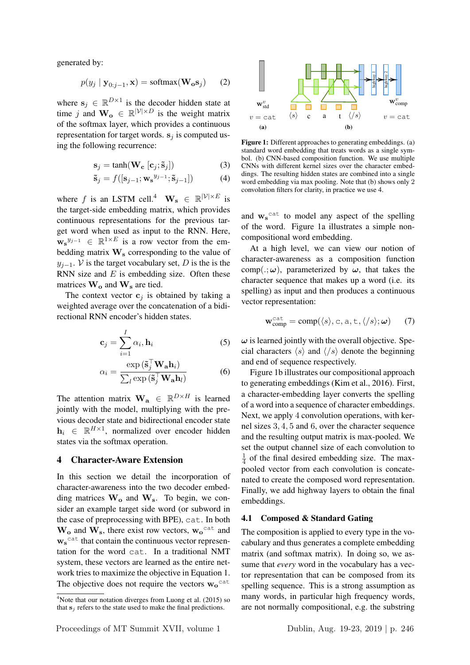generated by:

$$
p(y_j | \mathbf{y}_{0:j-1}, \mathbf{x}) = \text{softmax}(\mathbf{W_o s}_j)
$$
 (2)

where  $s_j \in \mathbb{R}^{D \times 1}$  is the decoder hidden state at time j and  $\mathbf{W_o} \in \mathbb{R}^{|\mathcal{V}| \times D}$  is the weight matrix of the softmax layer, which provides a continuous representation for target words.  $s_i$  is computed using the following recurrence:

$$
\mathbf{s}_j = \tanh(\mathbf{W_c} [\mathbf{c}_j; \tilde{\mathbf{s}}_j]) \tag{3}
$$

$$
\tilde{\mathbf{s}}_j = f([\mathbf{s}_{j-1}; \mathbf{w_s}^{y_{j-1}}; \tilde{\mathbf{s}}_{j-1}])
$$
(4)

where f is an LSTM cell.<sup>4</sup>  $W_s \in \mathbb{R}^{|\mathcal{V}| \times E}$  is the target-side embedding matrix, which provides continuous representations for the previous target word when used as input to the RNN. Here,  $\mathbf{w_s}^{y_{j-1}} \in \mathbb{R}^{1 \times E}$  is a row vector from the embedding matrix  $\mathbf{W}_s$  corresponding to the value of  $y_{j-1}$ . V is the target vocabulary set, D is the is the RNN size and  $E$  is embedding size. Often these matrices  $\mathbf{W}_o$  and  $\mathbf{W}_s$  are tied.

The context vector  $c_i$  is obtained by taking a weighted average over the concatenation of a bidirectional RNN encoder's hidden states.

$$
\mathbf{c}_j = \sum_{i=1}^I \alpha_i, \mathbf{h}_i
$$
 (5)

$$
\alpha_i = \frac{\exp\left(\tilde{\mathbf{s}}_j^{\top} \mathbf{W}_\mathbf{a} \mathbf{h}_i\right)}{\sum_l \exp\left(\tilde{\mathbf{s}}_j^{\top} \mathbf{W}_\mathbf{a} \mathbf{h}_l\right)}\tag{6}
$$

The attention matrix  $\mathbf{W}_a \in \mathbb{R}^{D \times H}$  is learned jointly with the model, multiplying with the previous decoder state and bidirectional encoder state  $\mathbf{h}_i \in \mathbb{R}^{H \times 1}$ , normalized over encoder hidden states via the softmax operation.

#### 4 Character-Aware Extension

In this section we detail the incorporation of character-awareness into the two decoder embedding matrices  $W_0$  and  $W_s$ . To begin, we consider an example target side word (or subword in the case of preprocessing with BPE), cat. In both  $W_0$  and  $W_s$ , there exist row vectors,  $w_0$ <sup>cat</sup> and  $\mathbf{w_s}^{\text{cat}}$  that contain the continuous vector representation for the word cat. In a traditional NMT system, these vectors are learned as the entire network tries to maximize the objective in Equation 1. The objective does not require the vectors  $w_0$ <sup>cat</sup>



Figure 1: Different approaches to generating embeddings. (a) standard word embedding that treats words as a single symbol. (b) CNN-based composition function. We use multiple CNNs with different kernel sizes over the character embeddings. The resulting hidden states are combined into a single word embedding via max pooling. Note that (b) shows only 2 convolution filters for clarity, in practice we use 4.

and  $w_s^{\text{cat}}$  to model any aspect of the spelling of the word. Figure 1a illustrates a simple noncompositional word embedding.

At a high level, we can view our notion of character-awareness as a composition function comp( $\cdot$ ;  $\omega$ ), parameterized by  $\omega$ , that takes the character sequence that makes up a word (i.e. its spelling) as input and then produces a continuous vector representation:

$$
\mathbf{w}_{\text{comp}}^{\text{cat}} = \text{comp}(\langle s \rangle, \text{c}, \text{a}, \text{t}, \langle /s \rangle; \boldsymbol{\omega}) \qquad (7)
$$

 $\omega$  is learned jointly with the overall objective. Special characters  $\langle s \rangle$  and  $\langle s \rangle$  denote the beginning and end of sequence respectively.

Figure 1b illustrates our compositional approach to generating embeddings (Kim et al., 2016). First, a character-embedding layer converts the spelling of a word into a sequence of character embeddings. Next, we apply 4 convolution operations, with kernel sizes 3, 4, 5 and 6, over the character sequence and the resulting output matrix is max-pooled. We set the output channel size of each convolution to 1  $\frac{1}{4}$  of the final desired embedding size. The maxpooled vector from each convolution is concatenated to create the composed word representation. Finally, we add highway layers to obtain the final embeddings.

#### 4.1 Composed & Standard Gating

The composition is applied to every type in the vocabulary and thus generates a complete embedding matrix (and softmax matrix). In doing so, we assume that *every* word in the vocabulary has a vector representation that can be composed from its spelling sequence. This is a strong assumption as many words, in particular high frequency words, are not normally compositional, e.g. the substring

<sup>&</sup>lt;sup>4</sup>Note that our notation diverges from Luong et al. (2015) so that  $s_i$  refers to the state used to make the final predictions.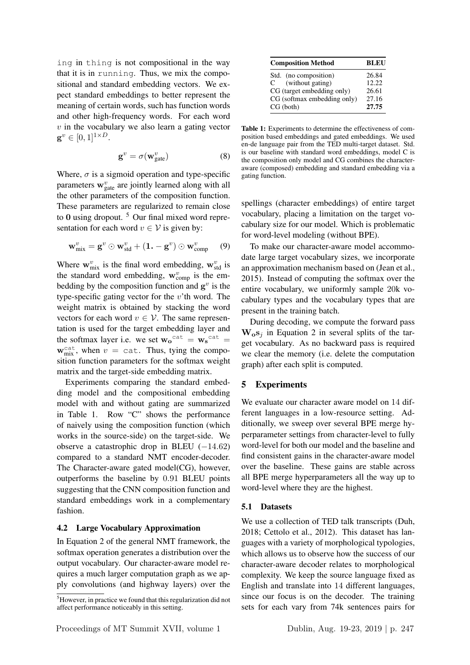ing in thing is not compositional in the way that it is in running. Thus, we mix the compositional and standard embedding vectors. We expect standard embeddings to better represent the meaning of certain words, such has function words and other high-frequency words. For each word  $v$  in the vocabulary we also learn a gating vector  $\mathbf{g}^v \in [0,1]^{1 \times D}.$ 

$$
\mathbf{g}^v = \sigma(\mathbf{w}_{\text{gate}}^v) \tag{8}
$$

Where,  $\sigma$  is a sigmoid operation and type-specific parameters  $\mathbf{w}_{gate}^{v}$  are jointly learned along with all the other parameters of the composition function. These parameters are regularized to remain close to  $\overline{0}$  using dropout. <sup>5</sup> Our final mixed word representation for each word  $v \in V$  is given by:

$$
\mathbf{w}_{\text{mix}}^v = \mathbf{g}^v \odot \mathbf{w}_{\text{std}}^v + (\mathbf{1} \cdot - \mathbf{g}^v) \odot \mathbf{w}_{\text{comp}}^v \qquad (9)
$$

Where  $\mathbf{w}_{\text{mix}}^v$  is the final word embedding,  $\mathbf{w}_{\text{std}}^v$  is the standard word embedding,  $w_{\text{comp}}^v$  is the embedding by the composition function and  $g^v$  is the type-specific gating vector for the  $v$ 'th word. The weight matrix is obtained by stacking the word vectors for each word  $v \in V$ . The same representation is used for the target embedding layer and the softmax layer i.e. we set  $w_0^{\text{cat}} = w_s^{\text{cat}} =$  $w_{mix}^{cat}$ , when  $v = cat$ . Thus, tying the composition function parameters for the softmax weight matrix and the target-side embedding matrix.

Experiments comparing the standard embedding model and the compositional embedding model with and without gating are summarized in Table 1. Row "C" shows the performance of naively using the composition function (which works in the source-side) on the target-side. We observe a catastrophic drop in BLEU  $(-14.62)$ compared to a standard NMT encoder-decoder. The Character-aware gated model(CG), however, outperforms the baseline by 0.91 BLEU points suggesting that the CNN composition function and standard embeddings work in a complementary fashion.

#### 4.2 Large Vocabulary Approximation

In Equation 2 of the general NMT framework, the softmax operation generates a distribution over the output vocabulary. Our character-aware model requires a much larger computation graph as we apply convolutions (and highway layers) over the

| <b>Composition Method</b>        | <b>BLEU</b> |
|----------------------------------|-------------|
| Std. (no composition)            | 26.84       |
| (without gating)<br>$\mathbf{C}$ | 12.22       |
| CG (target embedding only)       | 26.61       |
| CG (softmax embedding only)      | 27.16       |
| CG (both)                        | 27.75       |

Table 1: Experiments to determine the effectiveness of composition based embeddings and gated embeddings. We used en-de language pair from the TED multi-target dataset. Std. is our baseline with standard word embeddings, model C is the composition only model and CG combines the characteraware (composed) embedding and standard embedding via a gating function.

spellings (character embeddings) of entire target vocabulary, placing a limitation on the target vocabulary size for our model. Which is problematic for word-level modeling (without BPE).

To make our character-aware model accommodate large target vocabulary sizes, we incorporate an approximation mechanism based on (Jean et al., 2015). Instead of computing the softmax over the entire vocabulary, we uniformly sample 20k vocabulary types and the vocabulary types that are present in the training batch.

During decoding, we compute the forward pass  $W_0s_i$  in Equation 2 in several splits of the target vocabulary. As no backward pass is required we clear the memory (i.e. delete the computation graph) after each split is computed.

### 5 Experiments

We evaluate our character aware model on 14 different languages in a low-resource setting. Additionally, we sweep over several BPE merge hyperparameter settings from character-level to fully word-level for both our model and the baseline and find consistent gains in the character-aware model over the baseline. These gains are stable across all BPE merge hyperparameters all the way up to word-level where they are the highest.

#### 5.1 Datasets

We use a collection of TED talk transcripts (Duh, 2018; Cettolo et al., 2012). This dataset has languages with a variety of morphological typologies, which allows us to observe how the success of our character-aware decoder relates to morphological complexity. We keep the source language fixed as English and translate into 14 different languages, since our focus is on the decoder. The training sets for each vary from 74k sentences pairs for

<sup>&</sup>lt;sup>5</sup>However, in practice we found that this regularization did not affect performance noticeably in this setting.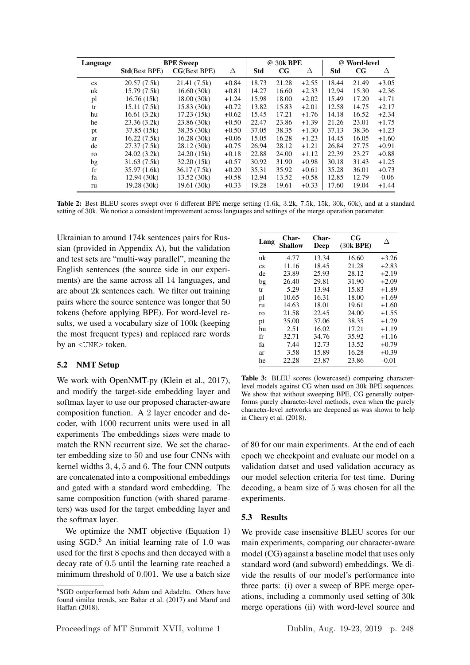| Language               | <b>BPE Sweep</b>      |                      |         | @ 30k BPE  |             | @ Word-level |            |             |         |
|------------------------|-----------------------|----------------------|---------|------------|-------------|--------------|------------|-------------|---------|
|                        | <b>Std</b> (Best BPE) | <b>CG</b> (Best BPE) | Δ       | <b>Std</b> | $_{\rm CG}$ | Δ            | <b>Std</b> | $_{\rm CG}$ | Δ       |
| $\mathbf{c}\mathbf{s}$ | 20.57(7.5k)           | 21.41 (7.5k)         | $+0.84$ | 18.73      | 21.28       | $+2.55$      | 18.44      | 21.49       | $+3.05$ |
| uk                     | 15.79(7.5k)           | 16.60(30k)           | $+0.81$ | 14.27      | 16.60       | $+2.33$      | 12.94      | 15.30       | $+2.36$ |
| pl                     | 16.76(15k)            | 18.00(30k)           | $+1.24$ | 15.98      | 18.00       | $+2.02$      | 15.49      | 17.20       | $+1.71$ |
| tr                     | 15.11(7.5k)           | 15.83(30k)           | $+0.72$ | 13.82      | 15.83       | $+2.01$      | 12.58      | 14.75       | $+2.17$ |
| hu                     | 16.61(3.2k)           | 17.23(15k)           | $+0.62$ | 15.45      | 17.21       | $+1.76$      | 14.18      | 16.52       | $+2.34$ |
| he                     | 23.36(3.2k)           | 23.86 (30k)          | $+0.50$ | 22.47      | 23.86       | $+1.39$      | 21.26      | 23.01       | $+1.75$ |
| pt                     | 37.85 (15k)           | 38.35 (30k)          | $+0.50$ | 37.05      | 38.35       | $+1.30$      | 37.13      | 38.36       | $+1.23$ |
| ar                     | 16.22(7.5k)           | 16.28(30k)           | $+0.06$ | 15.05      | 16.28       | $+1.23$      | 14.45      | 16.05       | $+1.60$ |
| de                     | 27.37 (7.5k)          | 28.12 (30k)          | $+0.75$ | 26.94      | 28.12       | $+1.21$      | 26.84      | 27.75       | $+0.91$ |
| ro                     | 24.02(3.2k)           | 24.20 (15k)          | $+0.18$ | 22.88      | 24.00       | $+1.12$      | 22.39      | 23.27       | $+0.88$ |
| bg                     | 31.63(7.5k)           | 32.20(15k)           | $+0.57$ | 30.92      | 31.90       | $+0.98$      | 30.18      | 31.43       | $+1.25$ |
| $_{\rm fr}$            | 35.97 (1.6k)          | 36.17(7.5k)          | $+0.20$ | 35.31      | 35.92       | $+0.61$      | 35.28      | 36.01       | $+0.73$ |
| fa                     | 12.94(30k)            | 13.52(30k)           | $+0.58$ | 12.94      | 13.52       | $+0.58$      | 12.85      | 12.79       | $-0.06$ |
| ru                     | 19.28 (30k)           | 19.61 (30k)          | $+0.33$ | 19.28      | 19.61       | $+0.33$      | 17.60      | 19.04       | $+1.44$ |

Table 2: Best BLEU scores swept over 6 different BPE merge setting (1.6k, 3.2k, 7.5k, 15k, 30k, 60k), and at a standard setting of 30k. We notice a consistent improvement across languages and settings of the merge operation parameter.

Ukrainian to around 174k sentences pairs for Russian (provided in Appendix A), but the validation and test sets are "multi-way parallel", meaning the English sentences (the source side in our experiments) are the same across all 14 languages, and are about 2k sentences each. We filter out training pairs where the source sentence was longer that 50 tokens (before applying BPE). For word-level results, we used a vocabulary size of 100k (keeping the most frequent types) and replaced rare words by an <UNK> token.

#### 5.2 NMT Setup

We work with OpenNMT-py (Klein et al., 2017), and modify the target-side embedding layer and softmax layer to use our proposed character-aware composition function. A 2 layer encoder and decoder, with 1000 recurrent units were used in all experiments The embeddings sizes were made to match the RNN recurrent size. We set the character embedding size to 50 and use four CNNs with kernel widths 3, 4, 5 and 6. The four CNN outputs are concatenated into a compositional embeddings and gated with a standard word embedding. The same composition function (with shared parameters) was used for the target embedding layer and the softmax layer.

We optimize the NMT objective (Equation 1) using  $SGD<sup>6</sup>$  An initial learning rate of 1.0 was used for the first 8 epochs and then decayed with a decay rate of 0.5 until the learning rate reached a minimum threshold of 0.001. We use a batch size

| Lang                   | Char-<br><b>Shallow</b> | Char-<br>Deep | $_{\rm CG}$<br>(30k BPE) | Л       |
|------------------------|-------------------------|---------------|--------------------------|---------|
| uk                     | 4.77                    | 13.34         | 16.60                    | $+3.26$ |
| $\mathbf{c}\mathbf{s}$ | 11.16                   | 18.45         | 21.28                    | $+2.83$ |
| de                     | 23.89                   | 25.93         | 28.12                    | $+2.19$ |
| bg                     | 26.40                   | 29.81         | 31.90                    | $+2.09$ |
| tr                     | 5.29                    | 13.94         | 15.83                    | $+1.89$ |
| pl                     | 10.65                   | 16.31         | 18.00                    | $+1.69$ |
| ru                     | 14.63                   | 18.01         | 19.61                    | $+1.60$ |
| ro                     | 21.58                   | 22.45         | 24.00                    | $+1.55$ |
| pt                     | 35.00                   | 37.06         | 38.35                    | $+1.29$ |
| hu                     | 2.51                    | 16.02         | 17.21                    | $+1.19$ |
| fr                     | 32.71                   | 34.76         | 35.92                    | $+1.16$ |
| fа                     | 7.44                    | 12.73         | 13.52                    | $+0.79$ |
| ar                     | 3.58                    | 15.89         | 16.28                    | $+0.39$ |
| he                     | 22.28                   | 23.87         | 23.86                    | $-0.01$ |

Table 3: BLEU scores (lowercased) comparing characterlevel models against CG when used on 30k BPE sequences. We show that without sweeping BPE, CG generally outperforms purely character-level methods, even when the purely character-level networks are deepened as was shown to help in Cherry et al. (2018).

of 80 for our main experiments. At the end of each epoch we checkpoint and evaluate our model on a validation datset and used validation accuracy as our model selection criteria for test time. During decoding, a beam size of 5 was chosen for all the experiments.

### 5.3 Results

We provide case insensitive BLEU scores for our main experiments, comparing our character-aware model (CG) against a baseline model that uses only standard word (and subword) embeddings. We divide the results of our model's performance into three parts: (i) over a sweep of BPE merge operations, including a commonly used setting of 30k merge operations (ii) with word-level source and

<sup>6</sup> SGD outperformed both Adam and Adadelta. Others have found similar trends, see Bahar et al. (2017) and Maruf and Haffari (2018).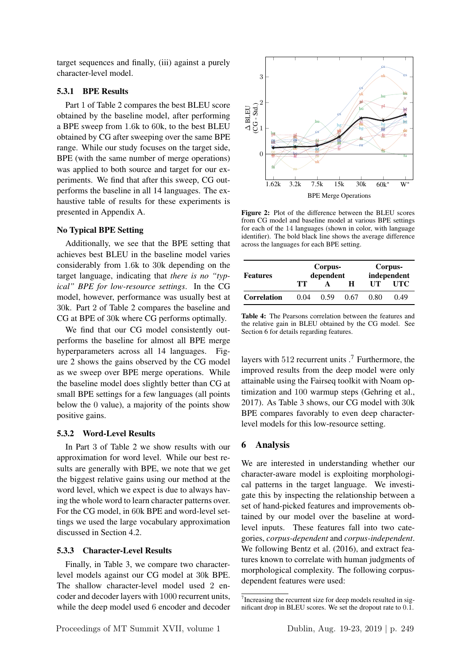target sequences and finally, (iii) against a purely character-level model.

# 5.3.1 BPE Results

Part 1 of Table 2 compares the best BLEU score obtained by the baseline model, after performing a BPE sweep from 1.6k to 60k, to the best BLEU obtained by CG after sweeping over the same BPE range. While our study focuses on the target side, BPE (with the same number of merge operations) was applied to both source and target for our experiments. We find that after this sweep, CG outperforms the baseline in all 14 languages. The exhaustive table of results for these experiments is presented in Appendix A.

#### No Typical BPE Setting

Additionally, we see that the BPE setting that achieves best BLEU in the baseline model varies considerably from 1.6k to 30k depending on the target language, indicating that *there is no "typical" BPE for low-resource settings*. In the CG model, however, performance was usually best at 30k. Part 2 of Table 2 compares the baseline and CG at BPE of 30k where CG performs optimally.

We find that our CG model consistently outperforms the baseline for almost all BPE merge hyperparameters across all 14 languages. Figure 2 shows the gains observed by the CG model as we sweep over BPE merge operations. While the baseline model does slightly better than CG at small BPE settings for a few languages (all points below the 0 value), a majority of the points show positive gains.

### 5.3.2 Word-Level Results

In Part 3 of Table 2 we show results with our approximation for word level. While our best results are generally with BPE, we note that we get the biggest relative gains using our method at the word level, which we expect is due to always having the whole word to learn character patterns over. For the CG model, in 60k BPE and word-level settings we used the large vocabulary approximation discussed in Section 4.2.

### 5.3.3 Character-Level Results

Finally, in Table 3, we compare two characterlevel models against our CG model at 30k BPE. The shallow character-level model used 2 encoder and decoder layers with 1000 recurrent units, while the deep model used 6 encoder and decoder



Figure 2: Plot of the difference between the BLEU scores from CG model and baseline model at various BPE settings for each of the 14 languages (shown in color, with language identifier). The bold black line shows the average difference across the languages for each BPE setting.

| <b>Features</b>    |      | Corpus-<br>dependent | Corpus-<br>independent |      |      |
|--------------------|------|----------------------|------------------------|------|------|
|                    | TТ   |                      | н                      | UТ   | UTC  |
| <b>Correlation</b> | 0.04 | 0.59                 | 0.67                   | 0.80 | 0.49 |

Table 4: The Pearsons correlation between the features and the relative gain in BLEU obtained by the CG model. See Section 6 for details regarding features.

layers with  $512$  recurrent units  $\cdot$ <sup>7</sup> Furthermore, the improved results from the deep model were only attainable using the Fairseq toolkit with Noam optimization and 100 warmup steps (Gehring et al., 2017). As Table 3 shows, our CG model with 30k BPE compares favorably to even deep characterlevel models for this low-resource setting.

### 6 Analysis

We are interested in understanding whether our character-aware model is exploiting morphological patterns in the target language. We investigate this by inspecting the relationship between a set of hand-picked features and improvements obtained by our model over the baseline at wordlevel inputs. These features fall into two categories, *corpus-dependent* and *corpus-independent*. We following Bentz et al. (2016), and extract features known to correlate with human judgments of morphological complexity. The following corpusdependent features were used:

<sup>&</sup>lt;sup>7</sup> Increasing the recurrent size for deep models resulted in significant drop in BLEU scores. We set the dropout rate to 0.1.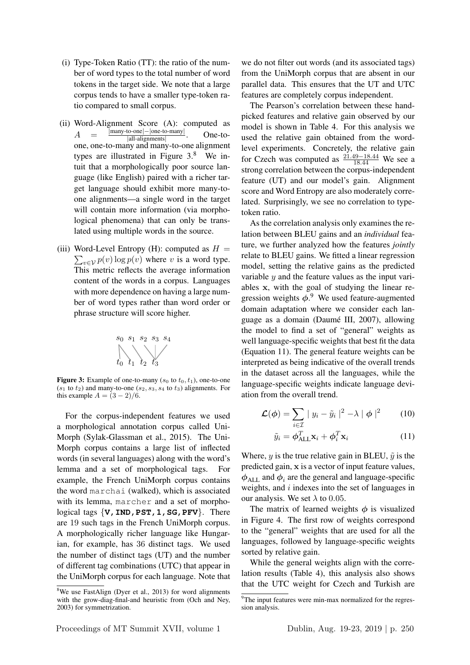- (i) Type-Token Ratio (TT): the ratio of the number of word types to the total number of word tokens in the target side. We note that a large corpus tends to have a smaller type-token ratio compared to small corpus.
- (ii) Word-Alignment Score (A): computed as  $A = \frac{|\text{many-to-one}| - |\text{one-to-many}|}{|\text{all-aliaments}|}$ |all-alignments| . One-toone, one-to-many and many-to-one alignment types are illustrated in Figure 3.<sup>8</sup> We intuit that a morphologically poor source language (like English) paired with a richer target language should exhibit more many-toone alignments—a single word in the target will contain more information (via morphological phenomena) that can only be translated using multiple words in the source.
- (iii) Word-Level Entropy (H): computed as  $H =$  $\sum_{v \in \mathcal{V}} p(v) \log p(v)$  where v is a word type. This metric reflects the average information content of the words in a corpus. Languages with more dependence on having a large number of word types rather than word order or phrase structure will score higher.



**Figure 3:** Example of one-to-many  $(s_0 \text{ to } t_0, t_1)$ , one-to-one  $(s_1$  to  $t_2$ ) and many-to-one  $(s_2, s_3, s_4$  to  $t_3$ ) alignments. For this example  $A = (3 - 2)/6$ .

For the corpus-independent features we used a morphological annotation corpus called Uni-Morph (Sylak-Glassman et al., 2015). The Uni-Morph corpus contains a large list of inflected words (in several languages) along with the word's lemma and a set of morphological tags. For example, the French UniMorph corpus contains the word marchai (walked), which is associated with its lemma, marcher and a set of morphological tags  $\{V, IND, PST, 1, SG, PFV\}$ . There are 19 such tags in the French UniMorph corpus. A morphologically richer language like Hungarian, for example, has 36 distinct tags. We used the number of distinct tags (UT) and the number of different tag combinations (UTC) that appear in the UniMorph corpus for each language. Note that we do not filter out words (and its associated tags) from the UniMorph corpus that are absent in our parallel data. This ensures that the UT and UTC features are completely corpus independent.

The Pearson's correlation between these handpicked features and relative gain observed by our model is shown in Table 4. For this analysis we used the relative gain obtained from the wordlevel experiments. Concretely, the relative gain for Czech was computed as  $\frac{21.49 - 18.44}{18.44}$  We see a strong correlation between the corpus-independent feature (UT) and our model's gain. Alignment score and Word Entropy are also moderately correlated. Surprisingly, we see no correlation to typetoken ratio.

As the correlation analysis only examines the relation between BLEU gains and an *individual* feature, we further analyzed how the features *jointly* relate to BLEU gains. We fitted a linear regression model, setting the relative gains as the predicted variable  $y$  and the feature values as the input variables x, with the goal of studying the linear regression weights  $\phi$ .<sup>9</sup> We used feature-augmented domain adaptation where we consider each language as a domain (Daume III, 2007), allowing ´ the model to find a set of "general" weights as well language-specific weights that best fit the data (Equation 11). The general feature weights can be interpreted as being indicative of the overall trends in the dataset across all the languages, while the language-specific weights indicate language deviation from the overall trend.

$$
\mathcal{L}(\phi) = \sum_{i \in \mathcal{I}} |y_i - \tilde{y}_i|^2 - \lambda |\phi|^2 \qquad (10)
$$

$$
\tilde{y}_i = \boldsymbol{\phi}_{\text{ALL}}^T \mathbf{x}_i + \boldsymbol{\phi}_i^T \mathbf{x}_i \tag{11}
$$

Where, y is the true relative gain in BLEU,  $\tilde{y}$  is the predicted gain, x is a vector of input feature values,  $\phi_{ALL}$  and  $\phi_i$  are the general and language-specific weights, and  $i$  indexes into the set of languages in our analysis. We set  $\lambda$  to 0.05.

The matrix of learned weights  $\phi$  is visualized in Figure 4. The first row of weights correspond to the "general" weights that are used for all the languages, followed by language-specific weights sorted by relative gain.

While the general weights align with the correlation results (Table 4), this analysis also shows that the UTC weight for Czech and Turkish are

<sup>&</sup>lt;sup>8</sup>We use FastAlign (Dyer et al., 2013) for word alignments with the grow-diag-final-and heuristic from (Och and Ney, 2003) for symmetrization.

<sup>&</sup>lt;sup>9</sup>The input features were min-max normalized for the regression analysis.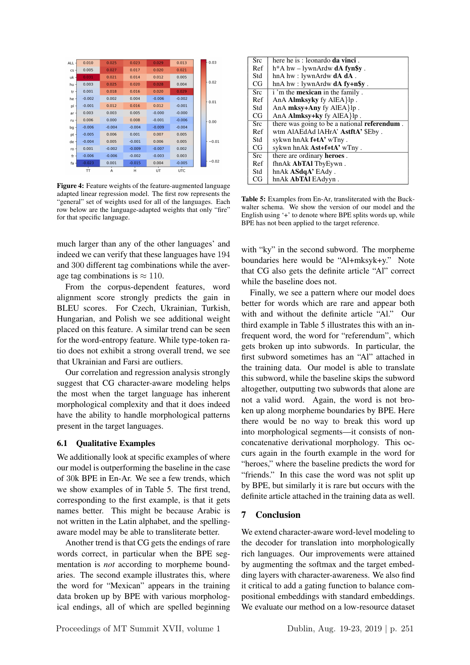| <b>ALL</b> | 0.010    | 0.025    | 0.023    | 0.029    | 0.013    | 0.03    |
|------------|----------|----------|----------|----------|----------|---------|
| cs         | 0.005    | 0.027    | 0.017    | 0.020    | 0.021    |         |
| $uk -$     | 0.031    | 0.021    | 0.014    | 0.012    | 0.005    |         |
| hu -       | 0.003    | 0.025    | 0.020    | 0.028    | 0.004    | 0.02    |
| tr         | 0.001    | 0.018    | 0.016    | 0.020    | 0.029    |         |
| he         | $-0.002$ | 0.002    | 0.004    | $-0.006$ | $-0.002$ | 0.01    |
| pl         | $-0.001$ | 0.012    | 0.016    | 0.012    | $-0.001$ |         |
| ar         | 0.003    | 0.003    | 0.005    | $-0.000$ | $-0.000$ |         |
| ru         | 0.006    | 0.000    | 0.008    | $-0.001$ | $-0.006$ | 0.00    |
| bg         | $-0.006$ | $-0.004$ | $-0.004$ | $-0.009$ | $-0.004$ |         |
| pt         | $-0.005$ | 0.006    | 0.001    | 0.007    | 0.005    |         |
| de         | $-0.004$ | 0.005    | $-0.001$ | 0.006    | 0.005    | $-0.01$ |
| ro         | 0.001    | $-0.002$ | $-0.009$ | $-0.007$ | 0.002    |         |
| fr         | $-0.006$ | $-0.006$ | $-0.002$ | $-0.003$ | 0.003    |         |
| fa         | $-0.023$ | 0.001    | $-0.015$ | 0.004    | $-0.005$ | $-0.02$ |
|            | π        | А        | Н        | UT       | UTC      |         |

Figure 4: Feature weights of the feature-augmented language adapted linear regression model. The first row represents the "general" set of weights used for all of the languages. Each row below are the language-adapted weights that only "fire" for that specific language.

much larger than any of the other languages' and indeed we can verify that these languages have 194 and 300 different tag combinations while the average tag combinations is  $\approx 110$ .

From the corpus-dependent features, word alignment score strongly predicts the gain in BLEU scores. For Czech, Ukrainian, Turkish, Hungarian, and Polish we see additional weight placed on this feature. A similar trend can be seen for the word-entropy feature. While type-token ratio does not exhibit a strong overall trend, we see that Ukrainian and Farsi are outliers.

Our correlation and regression analysis strongly suggest that CG character-aware modeling helps the most when the target language has inherent morphological complexity and that it does indeed have the ability to handle morphological patterns present in the target languages.

### 6.1 Qualitative Examples

We additionally look at specific examples of where our model is outperforming the baseline in the case of 30k BPE in En-Ar. We see a few trends, which we show examples of in Table 5. The first trend, corresponding to the first example, is that it gets names better. This might be because Arabic is not written in the Latin alphabet, and the spellingaware model may be able to transliterate better.

Another trend is that CG gets the endings of rare words correct, in particular when the BPE segmentation is *not* according to morpheme boundaries. The second example illustrates this, where the word for "Mexican" appears in the training data broken up by BPE with various morphological endings, all of which are spelled beginning

| Src        | here he is : leonardo <b>da vinci</b> .              |
|------------|------------------------------------------------------|
| Ref        | h*A hw – lywnArdw <b>dA fyn\$v</b> .                 |
| Std        | hnA hw : lywnArdw $dA$ $dA$ .                        |
| CG         | hnA hw : lywnArdw $dA f$ y+n\$y.                     |
| <b>Src</b> | i 'm the <b>mexican</b> in the family.               |
| Ref        | AnA <b>Almksyky</b> fy AlEA $\{$ lp.                 |
| Std        | AnA $mksy+Any$ fy AlEA $\{p$ .                       |
| CG         | AnA $Almksy+ky$ fy $AlEA$ $lp$ .                     |
| <b>Src</b> | there was going to be a national <b>referendum</b> . |
| Ref        | wtm AlAEdAd lAHrA' AstftA' \$Eby.                    |
| Std        | sykwn hnAk <b>f+tA'</b> wTny.                        |
| CG         | sykwn hnAk Ast+f+tA' wTny.                           |
| <b>Src</b> | there are ordinary heroes.                           |
| Ref        | fhnAk <b>AbTAl</b> TbyEywn.                          |
| Std        | hnAk <b>ASdqA'</b> EAdy.                             |
| CG         | hnAk AbTAI EAdyyn.                                   |

Table 5: Examples from En-Ar, transliterated with the Buckwalter schema. We show the version of our model and the English using '+' to denote where BPE splits words up, while BPE has not been applied to the target reference.

with "ky" in the second subword. The morpheme boundaries here would be "Al+mksyk+y." Note that CG also gets the definite article "Al" correct while the baseline does not.

Finally, we see a pattern where our model does better for words which are rare and appear both with and without the definite article "Al." Our third example in Table 5 illustrates this with an infrequent word, the word for "referendum", which gets broken up into subwords. In particular, the first subword sometimes has an "Al" attached in the training data. Our model is able to translate this subword, while the baseline skips the subword altogether, outputting two subwords that alone are not a valid word. Again, the word is not broken up along morpheme boundaries by BPE. Here there would be no way to break this word up into morphological segments—it consists of nonconcatenative derivational morphology. This occurs again in the fourth example in the word for "heroes," where the baseline predicts the word for "friends." In this case the word was not split up by BPE, but similarly it is rare but occurs with the definite article attached in the training data as well.

### 7 Conclusion

We extend character-aware word-level modeling to the decoder for translation into morphologically rich languages. Our improvements were attained by augmenting the softmax and the target embedding layers with character-awareness. We also find it critical to add a gating function to balance compositional embeddings with standard embeddings. We evaluate our method on a low-resource dataset

Proceedings of MT Summit XVII, volume 1 Dublin, Aug. 19-23, 2019 | p. 251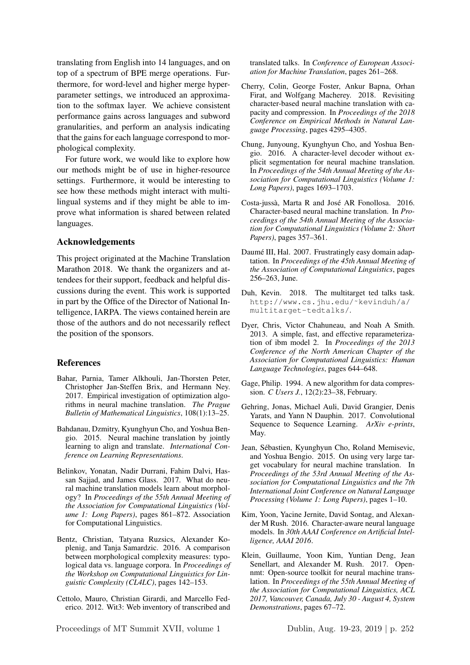translating from English into 14 languages, and on top of a spectrum of BPE merge operations. Furthermore, for word-level and higher merge hyperparameter settings, we introduced an approximation to the softmax layer. We achieve consistent performance gains across languages and subword granularities, and perform an analysis indicating that the gains for each language correspond to morphological complexity.

For future work, we would like to explore how our methods might be of use in higher-resource settings. Furthermore, it would be interesting to see how these methods might interact with multilingual systems and if they might be able to improve what information is shared between related languages.

#### Acknowledgements

This project originated at the Machine Translation Marathon 2018. We thank the organizers and attendees for their support, feedback and helpful discussions during the event. This work is supported in part by the Office of the Director of National Intelligence, IARPA. The views contained herein are those of the authors and do not necessarily reflect the position of the sponsors.

#### References

- Bahar, Parnia, Tamer Alkhouli, Jan-Thorsten Peter, Christopher Jan-Steffen Brix, and Hermann Ney. 2017. Empirical investigation of optimization algorithms in neural machine translation. *The Prague Bulletin of Mathematical Linguistics*, 108(1):13–25.
- Bahdanau, Dzmitry, Kyunghyun Cho, and Yoshua Bengio. 2015. Neural machine translation by jointly learning to align and translate. *International Conference on Learning Representations*.
- Belinkov, Yonatan, Nadir Durrani, Fahim Dalvi, Hassan Sajjad, and James Glass. 2017. What do neural machine translation models learn about morphology? In *Proceedings of the 55th Annual Meeting of the Association for Computational Linguistics (Volume 1: Long Papers)*, pages 861–872. Association for Computational Linguistics.
- Bentz, Christian, Tatyana Ruzsics, Alexander Koplenig, and Tanja Samardzic. 2016. A comparison between morphological complexity measures: typological data vs. language corpora. In *Proceedings of the Workshop on Computational Linguistics for Linguistic Complexity (CL4LC)*, pages 142–153.
- Cettolo, Mauro, Christian Girardi, and Marcello Federico. 2012. Wit3: Web inventory of transcribed and

translated talks. In *Conference of European Association for Machine Translation*, pages 261–268.

- Cherry, Colin, George Foster, Ankur Bapna, Orhan Firat, and Wolfgang Macherey. 2018. Revisiting character-based neural machine translation with capacity and compression. In *Proceedings of the 2018 Conference on Empirical Methods in Natural Language Processing*, pages 4295–4305.
- Chung, Junyoung, Kyunghyun Cho, and Yoshua Bengio. 2016. A character-level decoder without explicit segmentation for neural machine translation. In *Proceedings of the 54th Annual Meeting of the Association for Computational Linguistics (Volume 1: Long Papers)*, pages 1693–1703.
- Costa-jussà, Marta R and José AR Fonollosa. 2016. Character-based neural machine translation. In *Proceedings of the 54th Annual Meeting of the Association for Computational Linguistics (Volume 2: Short Papers)*, pages 357–361.
- Daumé III, Hal. 2007. Frustratingly easy domain adaptation. In *Proceedings of the 45th Annual Meeting of the Association of Computational Linguistics*, pages 256–263, June.
- Duh, Kevin. 2018. The multitarget ted talks task. http://www.cs.jhu.edu/˜kevinduh/a/ multitarget-tedtalks/.
- Dyer, Chris, Victor Chahuneau, and Noah A Smith. 2013. A simple, fast, and effective reparameterization of ibm model 2. In *Proceedings of the 2013 Conference of the North American Chapter of the Association for Computational Linguistics: Human Language Technologies*, pages 644–648.
- Gage, Philip. 1994. A new algorithm for data compression. *C Users J.*, 12(2):23–38, February.
- Gehring, Jonas, Michael Auli, David Grangier, Denis Yarats, and Yann N Dauphin. 2017. Convolutional Sequence to Sequence Learning. *ArXiv e-prints*, May.
- Jean, Sebastien, Kyunghyun Cho, Roland Memisevic, ´ and Yoshua Bengio. 2015. On using very large target vocabulary for neural machine translation. In *Proceedings of the 53rd Annual Meeting of the Association for Computational Linguistics and the 7th International Joint Conference on Natural Language Processing (Volume 1: Long Papers)*, pages 1–10.
- Kim, Yoon, Yacine Jernite, David Sontag, and Alexander M Rush. 2016. Character-aware neural language models. In *30th AAAI Conference on Artificial Intelligence, AAAI 2016*.
- Klein, Guillaume, Yoon Kim, Yuntian Deng, Jean Senellart, and Alexander M. Rush. 2017. Opennmt: Open-source toolkit for neural machine translation. In *Proceedings of the 55th Annual Meeting of the Association for Computational Linguistics, ACL 2017, Vancouver, Canada, July 30 - August 4, System Demonstrations*, pages 67–72.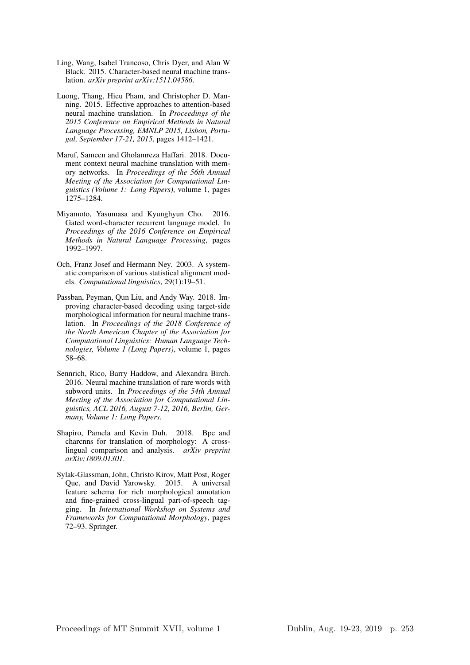- Ling, Wang, Isabel Trancoso, Chris Dyer, and Alan W Black. 2015. Character-based neural machine translation. *arXiv preprint arXiv:1511.04586*.
- Luong, Thang, Hieu Pham, and Christopher D. Manning. 2015. Effective approaches to attention-based neural machine translation. In *Proceedings of the 2015 Conference on Empirical Methods in Natural Language Processing, EMNLP 2015, Lisbon, Portugal, September 17-21, 2015*, pages 1412–1421.
- Maruf, Sameen and Gholamreza Haffari. 2018. Document context neural machine translation with memory networks. In *Proceedings of the 56th Annual Meeting of the Association for Computational Linguistics (Volume 1: Long Papers)*, volume 1, pages 1275–1284.
- Miyamoto, Yasumasa and Kyunghyun Cho. 2016. Gated word-character recurrent language model. In *Proceedings of the 2016 Conference on Empirical Methods in Natural Language Processing*, pages 1992–1997.
- Och, Franz Josef and Hermann Ney. 2003. A systematic comparison of various statistical alignment models. *Computational linguistics*, 29(1):19–51.
- Passban, Peyman, Qun Liu, and Andy Way. 2018. Improving character-based decoding using target-side morphological information for neural machine translation. In *Proceedings of the 2018 Conference of the North American Chapter of the Association for Computational Linguistics: Human Language Technologies, Volume 1 (Long Papers)*, volume 1, pages 58–68.
- Sennrich, Rico, Barry Haddow, and Alexandra Birch. 2016. Neural machine translation of rare words with subword units. In *Proceedings of the 54th Annual Meeting of the Association for Computational Linguistics, ACL 2016, August 7-12, 2016, Berlin, Germany, Volume 1: Long Papers*.
- Shapiro, Pamela and Kevin Duh. 2018. Bpe and charcnns for translation of morphology: A crosslingual comparison and analysis. *arXiv preprint arXiv:1809.01301*.
- Sylak-Glassman, John, Christo Kirov, Matt Post, Roger Que, and David Yarowsky. 2015. A universal feature schema for rich morphological annotation and fine-grained cross-lingual part-of-speech tagging. In *International Workshop on Systems and Frameworks for Computational Morphology*, pages 72–93. Springer.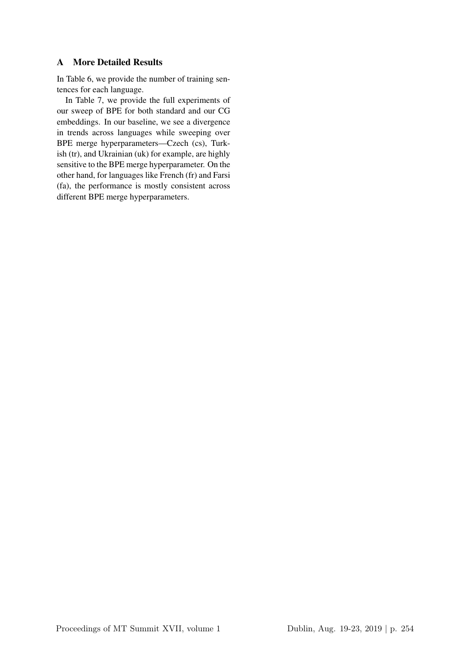# A More Detailed Results

In Table 6, we provide the number of training sentences for each language.

In Table 7, we provide the full experiments of our sweep of BPE for both standard and our CG embeddings. In our baseline, we see a divergence in trends across languages while sweeping over BPE merge hyperparameters—Czech (cs), Turkish (tr), and Ukrainian (uk) for example, are highly sensitive to the BPE merge hyperparameter. On the other hand, for languages like French (fr) and Farsi (fa), the performance is mostly consistent across different BPE merge hyperparameters.